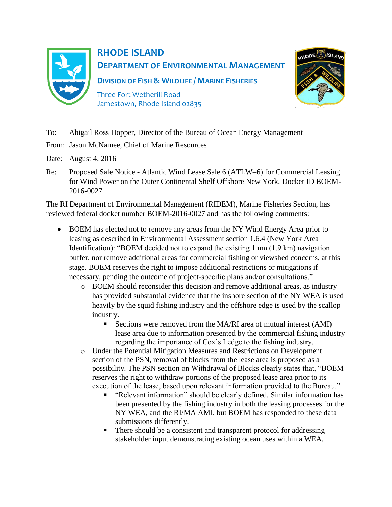

## **RHODE ISLAND DEPARTMENT OF ENVIRONMENTAL MANAGEMENT**

**DIVISION OF FISH & WILDLIFE / MARINE FISHERIES** Three Fort Wetherill Road

Jamestown, Rhode Island 02835



- To: Abigail Ross Hopper, Director of the Bureau of Ocean Energy Management
- From: Jason McNamee, Chief of Marine Resources
- Date: August 4, 2016
- Re: Proposed Sale Notice Atlantic Wind Lease Sale 6 (ATLW–6) for Commercial Leasing for Wind Power on the Outer Continental Shelf Offshore New York, Docket ID BOEM-2016-0027

The RI Department of Environmental Management (RIDEM), Marine Fisheries Section, has reviewed federal docket number BOEM-2016-0027 and has the following comments:

- BOEM has elected not to remove any areas from the NY Wind Energy Area prior to leasing as described in Environmental Assessment section 1.6.4 (New York Area Identification): "BOEM decided not to expand the existing 1 nm (1.9 km) navigation buffer, nor remove additional areas for commercial fishing or viewshed concerns, at this stage. BOEM reserves the right to impose additional restrictions or mitigations if necessary, pending the outcome of project-specific plans and/or consultations."
	- o BOEM should reconsider this decision and remove additional areas, as industry has provided substantial evidence that the inshore section of the NY WEA is used heavily by the squid fishing industry and the offshore edge is used by the scallop industry.
		- Sections were removed from the MA/RI area of mutual interest (AMI) lease area due to information presented by the commercial fishing industry regarding the importance of Cox's Ledge to the fishing industry.
	- o Under the Potential Mitigation Measures and Restrictions on Development section of the PSN, removal of blocks from the lease area is proposed as a possibility. The PSN section on Withdrawal of Blocks clearly states that, "BOEM reserves the right to withdraw portions of the proposed lease area prior to its execution of the lease, based upon relevant information provided to the Bureau."
		- "Relevant information" should be clearly defined. Similar information has been presented by the fishing industry in both the leasing processes for the NY WEA, and the RI/MA AMI, but BOEM has responded to these data submissions differently.
		- There should be a consistent and transparent protocol for addressing stakeholder input demonstrating existing ocean uses within a WEA.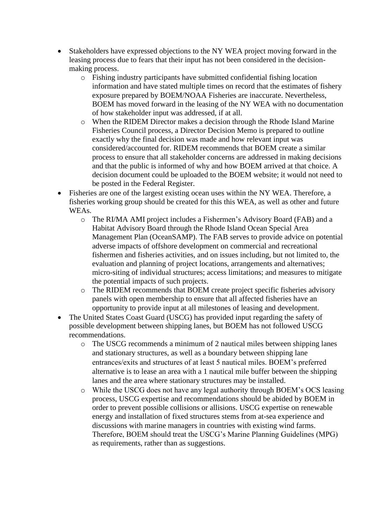- Stakeholders have expressed objections to the NY WEA project moving forward in the leasing process due to fears that their input has not been considered in the decisionmaking process.
	- o Fishing industry participants have submitted confidential fishing location information and have stated multiple times on record that the estimates of fishery exposure prepared by BOEM/NOAA Fisheries are inaccurate. Nevertheless, BOEM has moved forward in the leasing of the NY WEA with no documentation of how stakeholder input was addressed, if at all.
	- o When the RIDEM Director makes a decision through the Rhode Island Marine Fisheries Council process, a Director Decision Memo is prepared to outline exactly why the final decision was made and how relevant input was considered/accounted for. RIDEM recommends that BOEM create a similar process to ensure that all stakeholder concerns are addressed in making decisions and that the public is informed of why and how BOEM arrived at that choice. A decision document could be uploaded to the BOEM website; it would not need to be posted in the Federal Register.
- Fisheries are one of the largest existing ocean uses within the NY WEA. Therefore, a fisheries working group should be created for this this WEA, as well as other and future WEAs.
	- o The RI/MA AMI project includes a Fishermen's Advisory Board (FAB) and a Habitat Advisory Board through the Rhode Island Ocean Special Area Management Plan (OceanSAMP). The FAB serves to provide advice on potential adverse impacts of offshore development on commercial and recreational fishermen and fisheries activities, and on issues including, but not limited to, the evaluation and planning of project locations, arrangements and alternatives; micro-siting of individual structures; access limitations; and measures to mitigate the potential impacts of such projects.
	- o The RIDEM recommends that BOEM create project specific fisheries advisory panels with open membership to ensure that all affected fisheries have an opportunity to provide input at all milestones of leasing and development.
- The United States Coast Guard (USCG) has provided input regarding the safety of possible development between shipping lanes, but BOEM has not followed USCG recommendations.
	- o The USCG recommends a minimum of 2 nautical miles between shipping lanes and stationary structures, as well as a boundary between shipping lane entrances/exits and structures of at least 5 nautical miles. BOEM's preferred alternative is to lease an area with a 1 nautical mile buffer between the shipping lanes and the area where stationary structures may be installed.
	- o While the USCG does not have any legal authority through BOEM's OCS leasing process, USCG expertise and recommendations should be abided by BOEM in order to prevent possible collisions or allisions. USCG expertise on renewable energy and installation of fixed structures stems from at-sea experience and discussions with marine managers in countries with existing wind farms. Therefore, BOEM should treat the USCG's Marine Planning Guidelines (MPG) as requirements, rather than as suggestions.